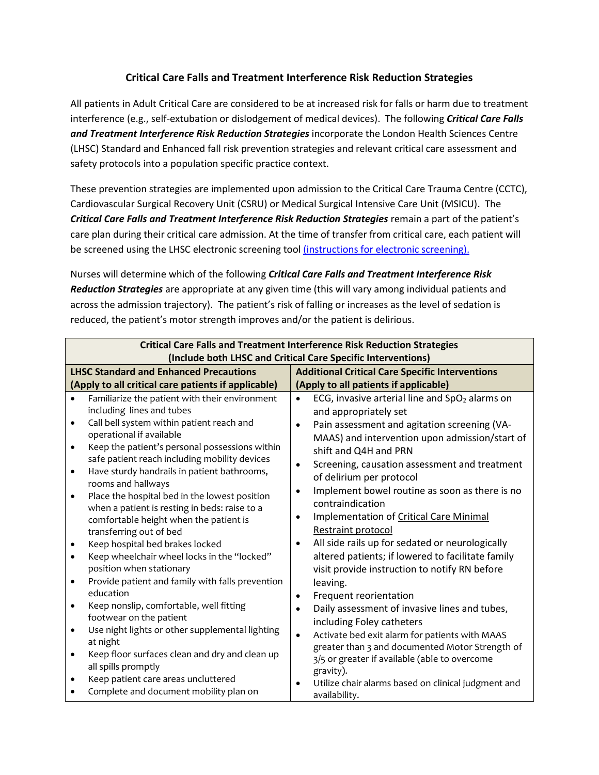## **Critical Care Falls and Treatment Interference Risk Reduction Strategies**

All patients in Adult Critical Care are considered to be at increased risk for falls or harm due to treatment interference (e.g., self-extubation or dislodgement of medical devices). The following *Critical Care Falls and Treatment Interference Risk Reduction Strategies* incorporate the London Health Sciences Centre (LHSC) Standard and Enhanced fall risk prevention strategies and relevant critical care assessment and safety protocols into a population specific practice context.

These prevention strategies are implemented upon admission to the Critical Care Trauma Centre (CCTC), Cardiovascular Surgical Recovery Unit (CSRU) or Medical Surgical Intensive Care Unit (MSICU). The *Critical Care Falls and Treatment Interference Risk Reduction Strategies* remain a part of the patient's care plan during their critical care admission. At the time of transfer from critical care, each patient will be screened using the LHSC electronic screening tool [\(instructions for electronic screening\).](about:blank)

Nurses will determine which of the following *Critical Care Falls and Treatment Interference Risk Reduction Strategies* are appropriate at any given time (this will vary among individual patients and across the admission trajectory). The patient's risk of falling or increases as the level of sedation is reduced, the patient's motor strength improves and/or the patient is delirious.